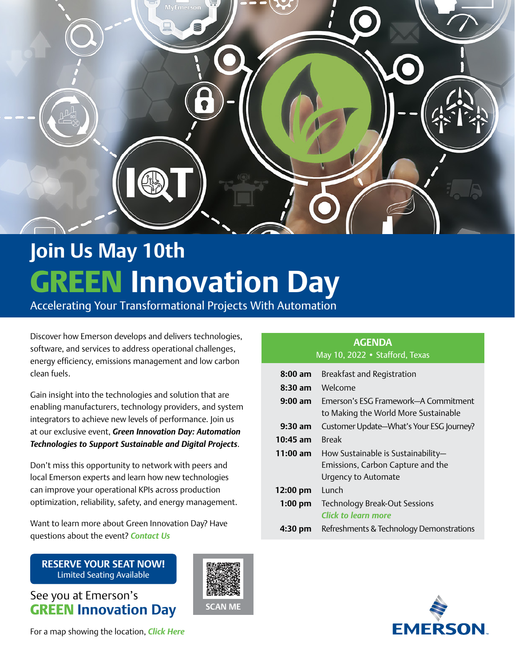<span id="page-0-0"></span>

# **Join Us May 10th** GREEN **Innovation Day**

Accelerating Your Transformational Projects With Automation

Discover how Emerson develops and delivers technologies, software, and services to address operational challenges, energy efficiency, emissions management and low carbon clean fuels.

Gain insight into the technologies and solution that are enabling manufacturers, technology providers, and system integrators to achieve new levels of performance. Join us at our exclusive event, *Green Innovation Day: Automation Technologies to Support Sustainable and Digital Projects*.

Don't miss this opportunity to network with peers and local Emerson experts and learn how new technologies can improve your operational KPIs across production optimization, reliability, safety, and energy management.

Want to learn more about Green Innovation Day? Have questions about the event? *[Contact Us](mailto:mari.clerc%40emerson.com?subject=Green%20Innovation%20Day%20Question)*

**[RESERVE YOUR SEAT NOW!](https://go.emersonautomation.com/green-innovation-day-stafford-texas?utm_source=eas_gbl&utm_medium=pdfe&utm_content=btn_register&utm_campaign=22neassi-green_innovt_day01)** Limited Seating Available

See you at Emerson's GREEN **Innovation Day**

For a map showing the location, *[Click Here](#page-1-0)*

### **AGENDA** May 10, 2022 • Stafford, Texas

| $8:00$ am          | Breakfast and Registration                                                                     |  |  |
|--------------------|------------------------------------------------------------------------------------------------|--|--|
| $8:30$ am          | Welcome                                                                                        |  |  |
| $9:00 \text{ am}$  | Emerson's ESG Framework-A Commitment<br>to Making the World More Sustainable                   |  |  |
| $9:30$ am          | Customer Update-What's Your ESG Journey?                                                       |  |  |
| $10:45$ am         | <b>Break</b>                                                                                   |  |  |
| 11:00 am           | How Sustainable is Sustainability-<br>Emissions, Carbon Capture and the<br>Urgency to Automate |  |  |
| $12:00 \text{ pm}$ | Lunch                                                                                          |  |  |
| $1:00$ pm          | <b>Technology Break-Out Sessions</b><br>Click to learn more                                    |  |  |
| 4:30 pm            | Refreshments & Technology Demonstrations                                                       |  |  |



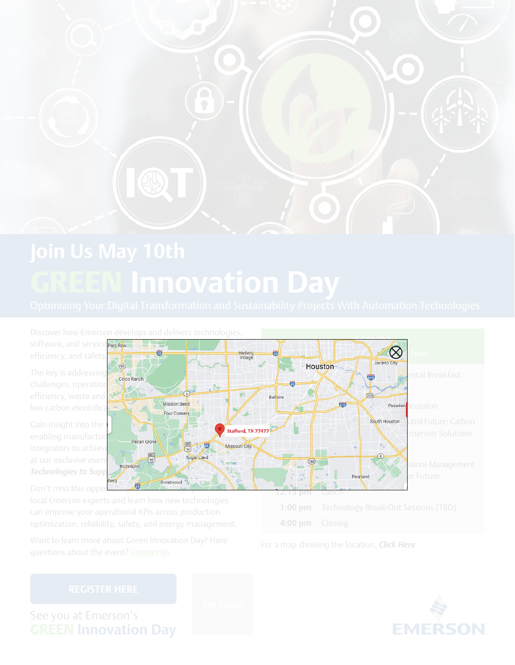<span id="page-1-0"></span>



For a map showing the location, *Click Here*

See you at Emerson's GREEN **Innovation Day**



**Technologies to Supp**